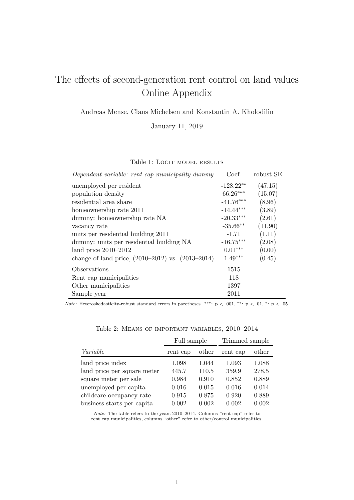## The effects of second-generation rent control on land values Online Appendix

Andreas Mense, Claus Michelsen and Konstantin A. Kholodilin

January 11, 2019

| Dependent variable: rent cap municipality dummy       | Coef.       | robust SE |
|-------------------------------------------------------|-------------|-----------|
| unemployed per resident                               | $-128.22**$ | (47.15)   |
| population density                                    | 66.26***    | (15.07)   |
| residential area share                                | $-41.76***$ | (8.96)    |
| homeownership rate 2011                               | $-14.44***$ | (3.89)    |
| dummy: homeownership rate NA                          | $-20.33***$ | (2.61)    |
| vacancy rate                                          | $-35.66**$  | (11.90)   |
| units per residential building 2011                   | $-1.71$     | (1.11)    |
| dummy: units per residential building NA              | $-16.75***$ | (2.08)    |
| land price $2010-2012$                                | $0.01***$   | (0.00)    |
| change of land price, $(2010-2012)$ vs. $(2013-2014)$ | $1.49***$   | (0.45)    |
| Observations                                          | 1515        |           |
| Rent cap municipalities                               | 118         |           |
| Other municipalities                                  | 1397        |           |
| Sample year                                           | 2011        |           |

Note: Heteroskedasticity-robust standard errors in paretheses. \*\*\*: p < .001, \*\*: p < .01, \*: p < .05.

|                             | Full sample |       | Trimmed sample |       |
|-----------------------------|-------------|-------|----------------|-------|
| Variable                    | rent cap    | other | rent cap       | other |
| land price index            | 1.098       | 1.044 | 1.093          | 1.088 |
| land price per square meter | 445.7       | 110.5 | 359.9          | 278.5 |
| square meter per sale       | 0.984       | 0.910 | 0.852          | 0.889 |
| unemployed per capita       | 0.016       | 0.015 | 0.016          | 0.014 |
| childcare occupancy rate    | 0.915       | 0.875 | 0.920          | 0.889 |
| business starts per capita  | 0.002       | 0.002 | 0.002          | 0.002 |

| Table 2: MEANS OF IMPORTANT VARIABLES, 2010–2014 |  |  |  |  |  |  |
|--------------------------------------------------|--|--|--|--|--|--|
|--------------------------------------------------|--|--|--|--|--|--|

Note: The table refers to the years 2010–2014. Columns "rent cap" refer to rent cap municipalities, columns "other" refer to other/control municipalities.